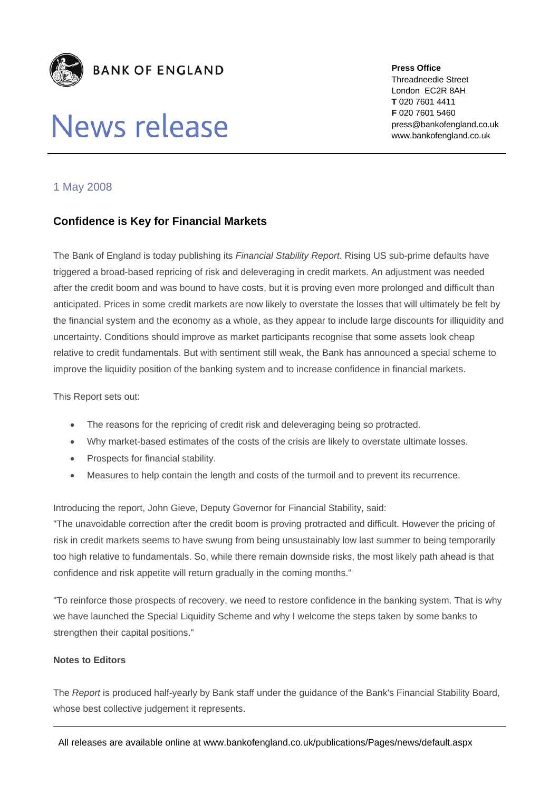

# News release

**Press Office**  Threadneedle Street London EC2R 8AH **T** 020 7601 4411 **F** 020 7601 5460 press@bankofengland.co.uk www.bankofengland.co.uk

## 1 May 2008

## **Confidence is Key for Financial Markets**

The Bank of England is today publishing its *Financial Stability Report*. Rising US sub-prime defaults have triggered a broad-based repricing of risk and deleveraging in credit markets. An adjustment was needed after the credit boom and was bound to have costs, but it is proving even more prolonged and difficult than anticipated. Prices in some credit markets are now likely to overstate the losses that will ultimately be felt by the financial system and the economy as a whole, as they appear to include large discounts for illiquidity and uncertainty. Conditions should improve as market participants recognise that some assets look cheap relative to credit fundamentals. But with sentiment still weak, the Bank has announced a special scheme to improve the liquidity position of the banking system and to increase confidence in financial markets.

#### This Report sets out:

- The reasons for the repricing of credit risk and deleveraging being so protracted.
- Why market-based estimates of the costs of the crisis are likely to overstate ultimate losses.
- Prospects for financial stability.
- Measures to help contain the length and costs of the turmoil and to prevent its recurrence.

Introducing the report, John Gieve, Deputy Governor for Financial Stability, said:

"The unavoidable correction after the credit boom is proving protracted and difficult. However the pricing of risk in credit markets seems to have swung from being unsustainably low last summer to being temporarily too high relative to fundamentals. So, while there remain downside risks, the most likely path ahead is that confidence and risk appetite will return gradually in the coming months."

"To reinforce those prospects of recovery, we need to restore confidence in the banking system. That is why we have launched the Special Liquidity Scheme and why I welcome the steps taken by some banks to strengthen their capital positions."

#### **Notes to Editors**

The *Report* is produced half-yearly by Bank staff under the guidance of the Bank's Financial Stability Board, whose best collective judgement it represents.